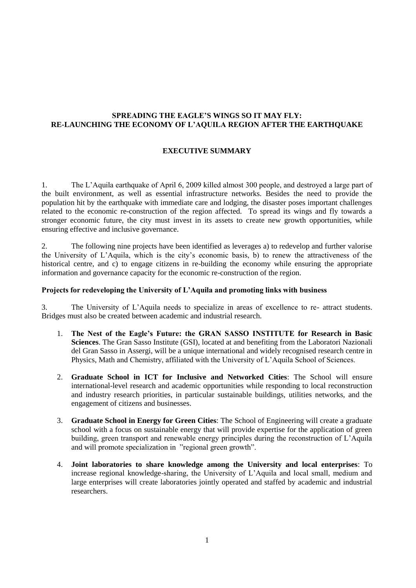# **SPREADING THE EAGLE'S WINGS SO IT MAY FLY: RE-LAUNCHING THE ECONOMY OF L'AQUILA REGION AFTER THE EARTHQUAKE**

## **EXECUTIVE SUMMARY**

1. The L'Aquila earthquake of April 6, 2009 killed almost 300 people, and destroyed a large part of the built environment, as well as essential infrastructure networks. Besides the need to provide the population hit by the earthquake with immediate care and lodging, the disaster poses important challenges related to the economic re-construction of the region affected. To spread its wings and fly towards a stronger economic future, the city must invest in its assets to create new growth opportunities, while ensuring effective and inclusive governance.

2. The following nine projects have been identified as leverages a) to redevelop and further valorise the University of L'Aquila, which is the city's economic basis, b) to renew the attractiveness of the historical centre, and c) to engage citizens in re-building the economy while ensuring the appropriate information and governance capacity for the economic re-construction of the region.

#### **Projects for redeveloping the University of L'Aquila and promoting links with business**

3. The University of L'Aquila needs to specialize in areas of excellence to re- attract students. Bridges must also be created between academic and industrial research.

- 1. **The Nest of the Eagle's Future: the GRAN SASSO INSTITUTE for Research in Basic Sciences**. The Gran Sasso Institute (GSI), located at and benefiting from the Laboratori Nazionali del Gran Sasso in Assergi, will be a unique international and widely recognised research centre in Physics, Math and Chemistry, affiliated with the University of L'Aquila School of Sciences.
- 2. **Graduate School in ICT for Inclusive and Networked Cities**: The School will ensure international-level research and academic opportunities while responding to local reconstruction and industry research priorities, in particular sustainable buildings, utilities networks, and the engagement of citizens and businesses.
- 3. **Graduate School in Energy for Green Cities**: The School of Engineering will create a graduate school with a focus on sustainable energy that will provide expertise for the application of green building, green transport and renewable energy principles during the reconstruction of L'Aquila and will promote specialization in "regional green growth".
- 4. **Joint laboratories to share knowledge among the University and local enterprises**: To increase regional knowledge-sharing, the University of L'Aquila and local small, medium and large enterprises will create laboratories jointly operated and staffed by academic and industrial researchers.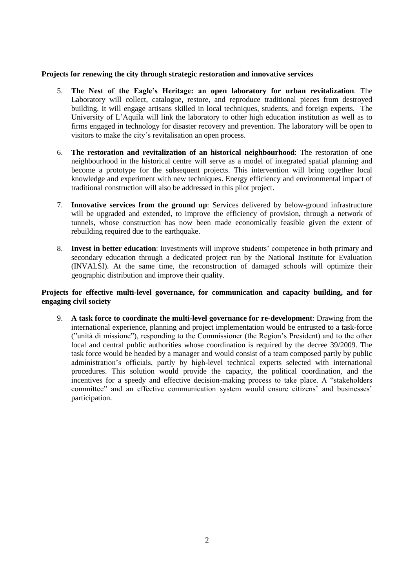### **Projects for renewing the city through strategic restoration and innovative services**

- 5. **The Nest of the Eagle's Heritage: an open laboratory for urban revitalization**. The Laboratory will collect, catalogue, restore, and reproduce traditional pieces from destroyed building. It will engage artisans skilled in local techniques, students, and foreign experts. The University of L'Aquila will link the laboratory to other high education institution as well as to firms engaged in technology for disaster recovery and prevention. The laboratory will be open to visitors to make the city's revitalisation an open process.
- 6. **The restoration and revitalization of an historical neighbourhood**: The restoration of one neighbourhood in the historical centre will serve as a model of integrated spatial planning and become a prototype for the subsequent projects. This intervention will bring together local knowledge and experiment with new techniques. Energy efficiency and environmental impact of traditional construction will also be addressed in this pilot project.
- 7. **Innovative services from the ground up**: Services delivered by below-ground infrastructure will be upgraded and extended, to improve the efficiency of provision, through a network of tunnels, whose construction has now been made economically feasible given the extent of rebuilding required due to the earthquake.
- 8. **Invest in better education**: Investments will improve students' competence in both primary and secondary education through a dedicated project run by the National Institute for Evaluation (INVALSI). At the same time, the reconstruction of damaged schools will optimize their geographic distribution and improve their quality.

# **Projects for effective multi-level governance, for communication and capacity building, and for engaging civil society**

9. **A task force to coordinate the multi-level governance for re-development**: Drawing from the international experience, planning and project implementation would be entrusted to a task-force ("unità di missione"), responding to the Commissioner (the Region's President) and to the other local and central public authorities whose coordination is required by the decree 39/2009. The task force would be headed by a manager and would consist of a team composed partly by public administration's officials, partly by high-level technical experts selected with international procedures. This solution would provide the capacity, the political coordination, and the incentives for a speedy and effective decision-making process to take place. A "stakeholders committee" and an effective communication system would ensure citizens' and businesses' participation.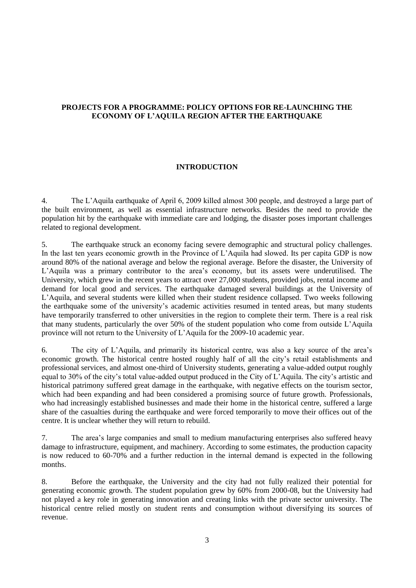# **PROJECTS FOR A PROGRAMME: POLICY OPTIONS FOR RE-LAUNCHING THE ECONOMY OF L'AQUILA REGION AFTER THE EARTHQUAKE**

### **INTRODUCTION**

4. The L'Aquila earthquake of April 6, 2009 killed almost 300 people, and destroyed a large part of the built environment, as well as essential infrastructure networks. Besides the need to provide the population hit by the earthquake with immediate care and lodging, the disaster poses important challenges related to regional development.

5. The earthquake struck an economy facing severe demographic and structural policy challenges. In the last ten years economic growth in the Province of L'Aquila had slowed. Its per capita GDP is now around 80% of the national average and below the regional average. Before the disaster, the University of L'Aquila was a primary contributor to the area's economy, but its assets were underutilised. The University, which grew in the recent years to attract over 27,000 students, provided jobs, rental income and demand for local good and services. The earthquake damaged several buildings at the University of L'Aquila, and several students were killed when their student residence collapsed. Two weeks following the earthquake some of the university's academic activities resumed in tented areas, but many students have temporarily transferred to other universities in the region to complete their term. There is a real risk that many students, particularly the over 50% of the student population who come from outside L'Aquila province will not return to the University of L'Aquila for the 2009-10 academic year.

6. The city of L'Aquila, and primarily its historical centre, was also a key source of the area's economic growth. The historical centre hosted roughly half of all the city's retail establishments and professional services, and almost one-third of University students, generating a value-added output roughly equal to 30% of the city's total value-added output produced in the City of L'Aquila. The city's artistic and historical patrimony suffered great damage in the earthquake, with negative effects on the tourism sector, which had been expanding and had been considered a promising source of future growth. Professionals, who had increasingly established businesses and made their home in the historical centre, suffered a large share of the casualties during the earthquake and were forced temporarily to move their offices out of the centre. It is unclear whether they will return to rebuild.

7. The area's large companies and small to medium manufacturing enterprises also suffered heavy damage to infrastructure, equipment, and machinery. According to some estimates, the production capacity is now reduced to 60-70% and a further reduction in the internal demand is expected in the following months.

8. Before the earthquake, the University and the city had not fully realized their potential for generating economic growth. The student population grew by 60% from 2000-08, but the University had not played a key role in generating innovation and creating links with the private sector university. The historical centre relied mostly on student rents and consumption without diversifying its sources of revenue.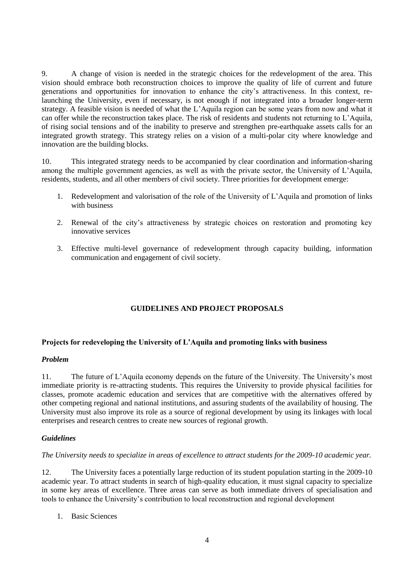9. A change of vision is needed in the strategic choices for the redevelopment of the area. This vision should embrace both reconstruction choices to improve the quality of life of current and future generations and opportunities for innovation to enhance the city's attractiveness. In this context, relaunching the University, even if necessary, is not enough if not integrated into a broader longer-term strategy. A feasible vision is needed of what the L'Aquila region can be some years from now and what it can offer while the reconstruction takes place. The risk of residents and students not returning to L'Aquila, of rising social tensions and of the inability to preserve and strengthen pre-earthquake assets calls for an integrated growth strategy. This strategy relies on a vision of a multi-polar city where knowledge and innovation are the building blocks.

10. This integrated strategy needs to be accompanied by clear coordination and information-sharing among the multiple government agencies, as well as with the private sector, the University of L'Aquila, residents, students, and all other members of civil society. Three priorities for development emerge:

- 1. Redevelopment and valorisation of the role of the University of L'Aquila and promotion of links with business
- 2. Renewal of the city's attractiveness by strategic choices on restoration and promoting key innovative services
- 3. Effective multi-level governance of redevelopment through capacity building, information communication and engagement of civil society.

# **GUIDELINES AND PROJECT PROPOSALS**

#### **Projects for redeveloping the University of L'Aquila and promoting links with business**

#### *Problem*

11. The future of L'Aquila economy depends on the future of the University. The University's most immediate priority is re-attracting students. This requires the University to provide physical facilities for classes, promote academic education and services that are competitive with the alternatives offered by other competing regional and national institutions, and assuring students of the availability of housing. The University must also improve its role as a source of regional development by using its linkages with local enterprises and research centres to create new sources of regional growth.

#### *Guidelines*

### *The University needs to specialize in areas of excellence to attract students for the 2009-10 academic year.*

12. The University faces a potentially large reduction of its student population starting in the 2009-10 academic year. To attract students in search of high-quality education, it must signal capacity to specialize in some key areas of excellence. Three areas can serve as both immediate drivers of specialisation and tools to enhance the University's contribution to local reconstruction and regional development

1. Basic Sciences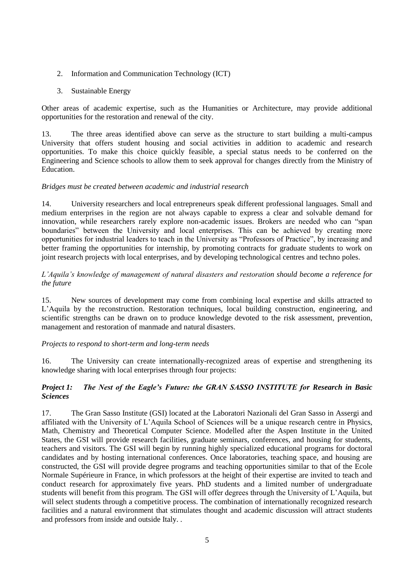- 2. Information and Communication Technology (ICT)
- 3. Sustainable Energy

Other areas of academic expertise, such as the Humanities or Architecture, may provide additional opportunities for the restoration and renewal of the city.

13. The three areas identified above can serve as the structure to start building a multi-campus University that offers student housing and social activities in addition to academic and research opportunities. To make this choice quickly feasible, a special status needs to be conferred on the Engineering and Science schools to allow them to seek approval for changes directly from the Ministry of Education.

## *Bridges must be created between academic and industrial research*

14. University researchers and local entrepreneurs speak different professional languages. Small and medium enterprises in the region are not always capable to express a clear and solvable demand for innovation, while researchers rarely explore non-academic issues. Brokers are needed who can "span boundaries" between the University and local enterprises. This can be achieved by creating more opportunities for industrial leaders to teach in the University as "Professors of Practice", by increasing and better framing the opportunities for internship, by promoting contracts for graduate students to work on joint research projects with local enterprises, and by developing technological centres and techno poles.

# *L'Aquila's knowledge of management of natural disasters and restoration should become a reference for the future*

15. New sources of development may come from combining local expertise and skills attracted to L'Aquila by the reconstruction. Restoration techniques, local building construction, engineering, and scientific strengths can be drawn on to produce knowledge devoted to the risk assessment, prevention, management and restoration of manmade and natural disasters.

## *Projects to respond to short-term and long-term needs*

16. The University can create internationally-recognized areas of expertise and strengthening its knowledge sharing with local enterprises through four projects:

# *Project 1: The Nest of the Eagle's Future: the GRAN SASSO INSTITUTE for Research in Basic Sciences*

17. The Gran Sasso Institute (GSI) located at the Laboratori Nazionali del Gran Sasso in Assergi and affiliated with the University of L'Aquila School of Sciences will be a unique research centre in Physics, Math, Chemistry and Theoretical Computer Science. Modelled after the Aspen Institute in the United States, the GSI will provide research facilities, graduate seminars, conferences, and housing for students, teachers and visitors. The GSI will begin by running highly specialized educational programs for doctoral candidates and by hosting international conferences. Once laboratories, teaching space, and housing are constructed, the GSI will provide degree programs and teaching opportunities similar to that of the Ecole Normale Supérieure in France, in which professors at the height of their expertise are invited to teach and conduct research for approximately five years. PhD students and a limited number of undergraduate students will benefit from this program. The GSI will offer degrees through the University of L'Aquila, but will select students through a competitive process. The combination of internationally recognized research facilities and a natural environment that stimulates thought and academic discussion will attract students and professors from inside and outside Italy. .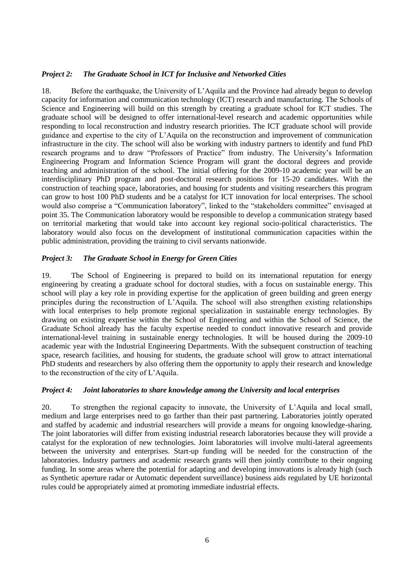## *Project 2: The Graduate School in ICT for Inclusive and Networked Cities*

18. Before the earthquake, the University of L'Aquila and the Province had already begun to develop capacity for information and communication technology (ICT) research and manufacturing. The Schools of Science and Engineering will build on this strength by creating a graduate school for ICT studies. The graduate school will be designed to offer international-level research and academic opportunities while responding to local reconstruction and industry research priorities. The ICT graduate school will provide guidance and expertise to the city of L'Aquila on the reconstruction and improvement of communication infrastructure in the city. The school will also be working with industry partners to identify and fund PhD research programs and to draw "Professors of Practice" from industry. The University's Information Engineering Program and Information Science Program will grant the doctoral degrees and provide teaching and administration of the school. The initial offering for the 2009-10 academic year will be an interdisciplinary PhD program and post-doctoral research positions for 15-20 candidates. With the construction of teaching space, laboratories, and housing for students and visiting researchers this program can grow to host 100 PhD students and be a catalyst for ICT innovation for local enterprises. The school would also comprise a "Communication laboratory", linked to the "stakeholders committee" envisaged at point 35. The Communication laboratory would be responsible to develop a communication strategy based on territorial marketing that would take into account key regional socio-political characteristics. The laboratory would also focus on the development of institutional communication capacities within the public administration, providing the training to civil servants nationwide.

#### *Project 3: The Graduate School in Energy for Green Cities*

19. The School of Engineering is prepared to build on its international reputation for energy engineering by creating a graduate school for doctoral studies, with a focus on sustainable energy. This school will play a key role in providing expertise for the application of green building and green energy principles during the reconstruction of L'Aquila. The school will also strengthen existing relationships with local enterprises to help promote regional specialization in sustainable energy technologies. By drawing on existing expertise within the School of Engineering and within the School of Science, the Graduate School already has the faculty expertise needed to conduct innovative research and provide international-level training in sustainable energy technologies. It will be housed during the 2009-10 academic year with the Industrial Engineering Departments. With the subsequent construction of teaching space, research facilities, and housing for students, the graduate school will grow to attract international PhD students and researchers by also offering them the opportunity to apply their research and knowledge to the reconstruction of the city of L'Aquila.

#### *Project 4: Joint laboratories to share knowledge among the University and local enterprises*

20. To strengthen the regional capacity to innovate, the University of L'Aquila and local small, medium and large enterprises need to go farther than their past partnering. Laboratories jointly operated and staffed by academic and industrial researchers will provide a means for ongoing knowledge-sharing. The joint laboratories will differ from existing industrial research laboratories because they will provide a catalyst for the exploration of new technologies. Joint laboratories will involve multi-lateral agreements between the university and enterprises. Start-up funding will be needed for the construction of the laboratories. Industry partners and academic research grants will then jointly contribute to their ongoing funding. In some areas where the potential for adapting and developing innovations is already high (such as Synthetic aperture radar or Automatic dependent surveillance) business aids regulated by UE horizontal rules could be appropriately aimed at promoting immediate industrial effects.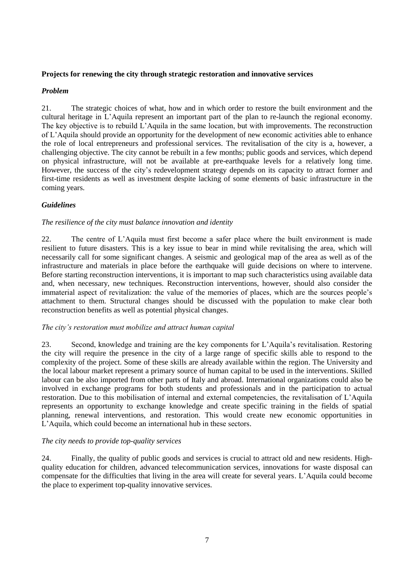# **Projects for renewing the city through strategic restoration and innovative services**

# *Problem*

21. The strategic choices of what, how and in which order to restore the built environment and the cultural heritage in L'Aquila represent an important part of the plan to re-launch the regional economy. The key objective is to rebuild L'Aquila in the same location, but with improvements. The reconstruction of L'Aquila should provide an opportunity for the development of new economic activities able to enhance the role of local entrepreneurs and professional services. The revitalisation of the city is a, however, a challenging objective. The city cannot be rebuilt in a few months; public goods and services, which depend on physical infrastructure, will not be available at pre-earthquake levels for a relatively long time. However, the success of the city's redevelopment strategy depends on its capacity to attract former and first-time residents as well as investment despite lacking of some elements of basic infrastructure in the coming years.

# *Guidelines*

## *The resilience of the city must balance innovation and identity*

22. The centre of L'Aquila must first become a safer place where the built environment is made resilient to future disasters. This is a key issue to bear in mind while revitalising the area, which will necessarily call for some significant changes. A seismic and geological map of the area as well as of the infrastructure and materials in place before the earthquake will guide decisions on where to intervene. Before starting reconstruction interventions, it is important to map such characteristics using available data and, when necessary, new techniques. Reconstruction interventions, however, should also consider the immaterial aspect of revitalization: the value of the memories of places, which are the sources people's attachment to them. Structural changes should be discussed with the population to make clear both reconstruction benefits as well as potential physical changes.

## *The city's restoration must mobilize and attract human capital*

23. Second, knowledge and training are the key components for L'Aquila's revitalisation. Restoring the city will require the presence in the city of a large range of specific skills able to respond to the complexity of the project. Some of these skills are already available within the region. The University and the local labour market represent a primary source of human capital to be used in the interventions. Skilled labour can be also imported from other parts of Italy and abroad. International organizations could also be involved in exchange programs for both students and professionals and in the participation to actual restoration. Due to this mobilisation of internal and external competencies, the revitalisation of L'Aquila represents an opportunity to exchange knowledge and create specific training in the fields of spatial planning, renewal interventions, and restoration. This would create new economic opportunities in L'Aquila, which could become an international hub in these sectors.

## *The city needs to provide top-quality services*

24. Finally, the quality of public goods and services is crucial to attract old and new residents. Highquality education for children, advanced telecommunication services, innovations for waste disposal can compensate for the difficulties that living in the area will create for several years. L'Aquila could become the place to experiment top-quality innovative services.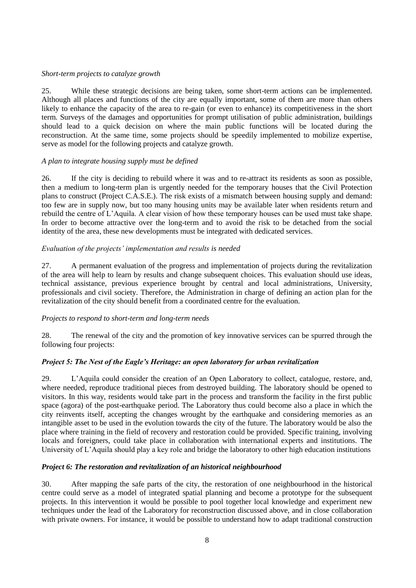## *Short-term projects to catalyze growth*

25. While these strategic decisions are being taken, some short-term actions can be implemented. Although all places and functions of the city are equally important, some of them are more than others likely to enhance the capacity of the area to re-gain (or even to enhance) its competitiveness in the short term. Surveys of the damages and opportunities for prompt utilisation of public administration, buildings should lead to a quick decision on where the main public functions will be located during the reconstruction. At the same time, some projects should be speedily implemented to mobilize expertise, serve as model for the following projects and catalyze growth.

## *A plan to integrate housing supply must be defined*

26. If the city is deciding to rebuild where it was and to re-attract its residents as soon as possible, then a medium to long-term plan is urgently needed for the temporary houses that the Civil Protection plans to construct (Project C.A.S.E.). The risk exists of a mismatch between housing supply and demand: too few are in supply now, but too many housing units may be available later when residents return and rebuild the centre of L'Aquila. A clear vision of how these temporary houses can be used must take shape. In order to become attractive over the long-term and to avoid the risk to be detached from the social identity of the area, these new developments must be integrated with dedicated services.

### *Evaluation of the projects' implementation and results is needed*

27. A permanent evaluation of the progress and implementation of projects during the revitalization of the area will help to learn by results and change subsequent choices. This evaluation should use ideas, technical assistance, previous experience brought by central and local administrations, University, professionals and civil society. Therefore, the Administration in charge of defining an action plan for the revitalization of the city should benefit from a coordinated centre for the evaluation.

## *Projects to respond to short-term and long-term needs*

28. The renewal of the city and the promotion of key innovative services can be spurred through the following four projects:

## *Project 5: The Nest of the Eagle's Heritage: an open laboratory for urban revitalization*

29. L'Aquila could consider the creation of an Open Laboratory to collect, catalogue, restore, and, where needed, reproduce traditional pieces from destroyed building. The laboratory should be opened to visitors. In this way, residents would take part in the process and transform the facility in the first public space (agora) of the post-earthquake period. The Laboratory thus could become also a place in which the city reinvents itself, accepting the changes wrought by the earthquake and considering memories as an intangible asset to be used in the evolution towards the city of the future. The laboratory would be also the place where training in the field of recovery and restoration could be provided. Specific training, involving locals and foreigners, could take place in collaboration with international experts and institutions. The University of L'Aquila should play a key role and bridge the laboratory to other high education institutions

## *Project 6: The restoration and revitalization of an historical neighbourhood*

30. After mapping the safe parts of the city, the restoration of one neighbourhood in the historical centre could serve as a model of integrated spatial planning and become a prototype for the subsequent projects. In this intervention it would be possible to pool together local knowledge and experiment new techniques under the lead of the Laboratory for reconstruction discussed above, and in close collaboration with private owners. For instance, it would be possible to understand how to adapt traditional construction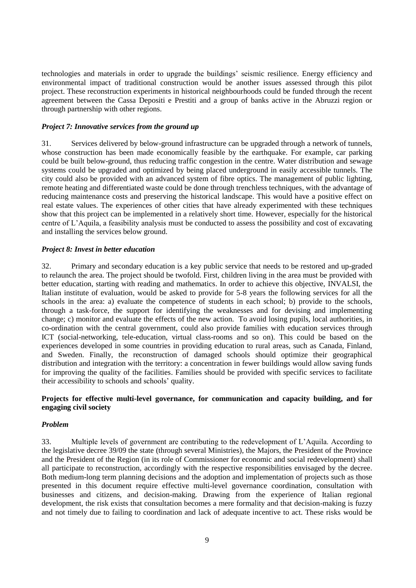technologies and materials in order to upgrade the buildings' seismic resilience. Energy efficiency and environmental impact of traditional construction would be another issues assessed through this pilot project. These reconstruction experiments in historical neighbourhoods could be funded through the recent agreement between the Cassa Depositi e Prestiti and a group of banks active in the Abruzzi region or through partnership with other regions.

## *Project 7: Innovative services from the ground up*

31. Services delivered by below-ground infrastructure can be upgraded through a network of tunnels, whose construction has been made economically feasible by the earthquake. For example, car parking could be built below-ground, thus reducing traffic congestion in the centre. Water distribution and sewage systems could be upgraded and optimized by being placed underground in easily accessible tunnels. The city could also be provided with an advanced system of fibre optics. The management of public lighting, remote heating and differentiated waste could be done through trenchless techniques, with the advantage of reducing maintenance costs and preserving the historical landscape. This would have a positive effect on real estate values. The experiences of other cities that have already experimented with these techniques show that this project can be implemented in a relatively short time. However, especially for the historical centre of L'Aquila, a feasibility analysis must be conducted to assess the possibility and cost of excavating and installing the services below ground.

### *Project 8: Invest in better education*

32. Primary and secondary education is a key public service that needs to be restored and up-graded to relaunch the area. The project should be twofold. First, children living in the area must be provided with better education, starting with reading and mathematics. In order to achieve this objective, INVALSI, the Italian institute of evaluation, would be asked to provide for 5-8 years the following services for all the schools in the area: a) evaluate the competence of students in each school; b) provide to the schools, through a task-force, the support for identifying the weaknesses and for devising and implementing change; c) monitor and evaluate the effects of the new action. To avoid losing pupils, local authorities, in co-ordination with the central government, could also provide families with education services through ICT (social-networking, tele-education, virtual class-rooms and so on). This could be based on the experiences developed in some countries in providing education to rural areas, such as Canada, Finland, and Sweden. Finally, the reconstruction of damaged schools should optimize their geographical distribution and integration with the territory: a concentration in fewer buildings would allow saving funds for improving the quality of the facilities. Families should be provided with specific services to facilitate their accessibility to schools and schools' quality.

# **Projects for effective multi-level governance, for communication and capacity building, and for engaging civil society**

#### *Problem*

33. Multiple levels of government are contributing to the redevelopment of L'Aquila. According to the legislative decree 39/09 the state (through several Ministries), the Majors, the President of the Province and the President of the Region (in its role of Commissioner for economic and social redevelopment) shall all participate to reconstruction, accordingly with the respective responsibilities envisaged by the decree. Both medium-long term planning decisions and the adoption and implementation of projects such as those presented in this document require effective multi-level governance coordination, consultation with businesses and citizens, and decision-making. Drawing from the experience of Italian regional development, the risk exists that consultation becomes a mere formality and that decision-making is fuzzy and not timely due to failing to coordination and lack of adequate incentive to act. These risks would be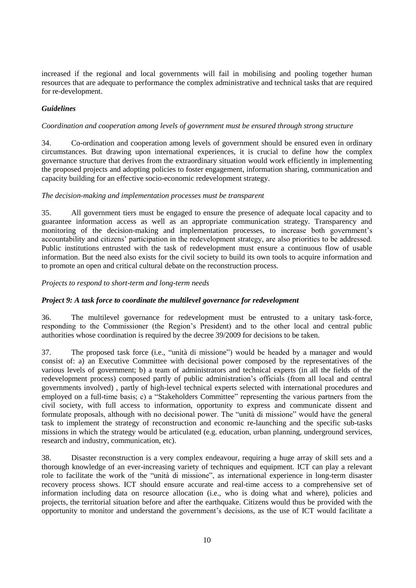increased if the regional and local governments will fail in mobilising and pooling together human resources that are adequate to performance the complex administrative and technical tasks that are required for re-development.

# *Guidelines*

### *Coordination and cooperation among levels of government must be ensured through strong structure*

34. Co-ordination and cooperation among levels of government should be ensured even in ordinary circumstances. But drawing upon international experiences, it is crucial to define how the complex governance structure that derives from the extraordinary situation would work efficiently in implementing the proposed projects and adopting policies to foster engagement, information sharing, communication and capacity building for an effective socio-economic redevelopment strategy.

### *The decision-making and implementation processes must be transparent*

35. All government tiers must be engaged to ensure the presence of adequate local capacity and to guarantee information access as well as an appropriate communication strategy. Transparency and monitoring of the decision-making and implementation processes, to increase both government's accountability and citizens' participation in the redevelopment strategy, are also priorities to be addressed. Public institutions entrusted with the task of redevelopment must ensure a continuous flow of usable information. But the need also exists for the civil society to build its own tools to acquire information and to promote an open and critical cultural debate on the reconstruction process.

### *Projects to respond to short-term and long-term needs*

## *Project 9: A task force to coordinate the multilevel governance for redevelopment*

36. The multilevel governance for redevelopment must be entrusted to a unitary task-force, responding to the Commissioner (the Region's President) and to the other local and central public authorities whose coordination is required by the decree 39/2009 for decisions to be taken.

37. The proposed task force (i.e., "unità di missione") would be headed by a manager and would consist of: a) an Executive Committee with decisional power composed by the representatives of the various levels of government; b) a team of administrators and technical experts (in all the fields of the redevelopment process) composed partly of public administration's officials (from all local and central governments involved) , partly of high-level technical experts selected with international procedures and employed on a full-time basis; c) a "Stakeholders Committee" representing the various partners from the civil society, with full access to information, opportunity to express and communicate dissent and formulate proposals, although with no decisional power. The "unità di missione" would have the general task to implement the strategy of reconstruction and economic re-launching and the specific sub-tasks missions in which the strategy would be articulated (e.g. education, urban planning, underground services, research and industry, communication, etc).

38. Disaster reconstruction is a very complex endeavour, requiring a huge array of skill sets and a thorough knowledge of an ever-increasing variety of techniques and equipment. ICT can play a relevant role to facilitate the work of the "unità di missione", as international experience in long-term disaster recovery process shows. ICT should ensure accurate and real-time access to a comprehensive set of information including data on resource allocation (i.e., who is doing what and where), policies and projects, the territorial situation before and after the earthquake. Citizens would thus be provided with the opportunity to monitor and understand the government's decisions, as the use of ICT would facilitate a